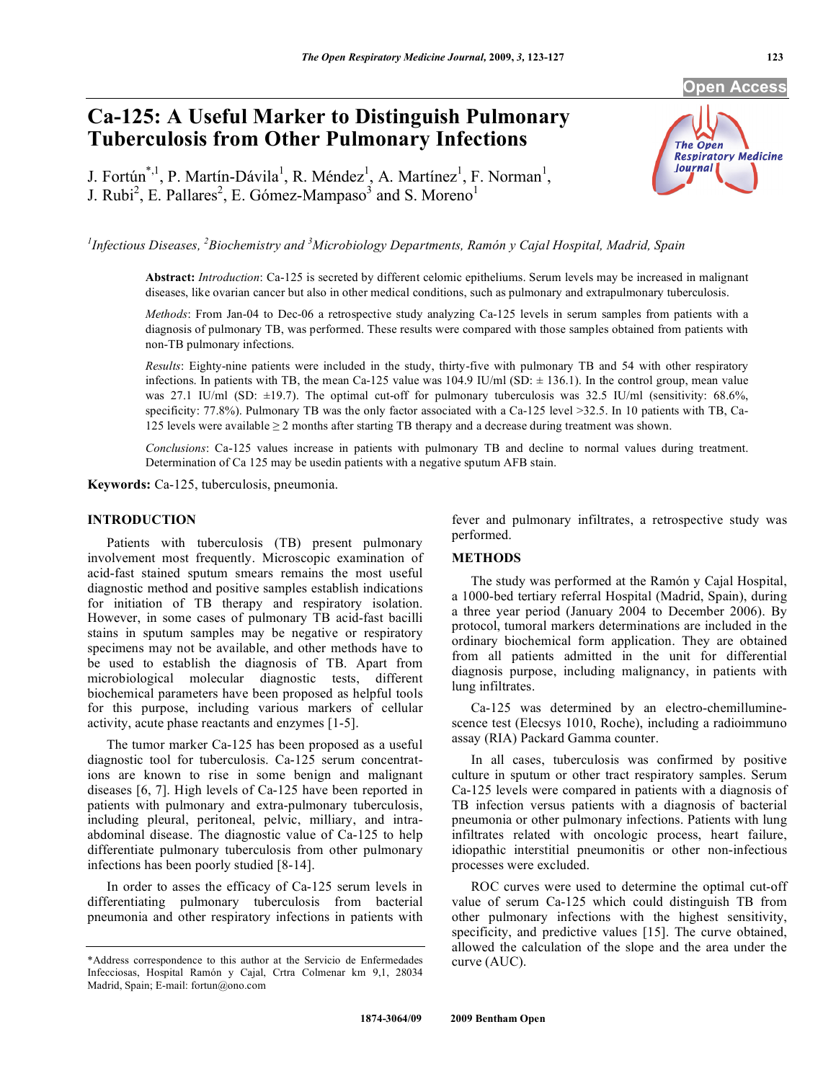# **Ca-125: A Useful Marker to Distinguish Pulmonary Tuberculosis from Other Pulmonary Infections**

J. Fortún<sup>\*,1</sup>, P. Martín-Dávila<sup>1</sup>, R. Méndez<sup>1</sup>, A. Martínez<sup>1</sup>, F. Norman<sup>1</sup>, J. Rubi<sup>2</sup>, E. Pallares<sup>2</sup>, E. Gómez-Mampaso<sup>3</sup> and S. Moreno<sup>1</sup>

<sup>1</sup> Infectious Diseases, <sup>2</sup> Biochemistry and <sup>3</sup> Microbiology Departments, Ramón y Cajal Hospital, Madrid, Spain

**Abstract:** *Introduction*: Ca-125 is secreted by different celomic epitheliums. Serum levels may be increased in malignant diseases, like ovarian cancer but also in other medical conditions, such as pulmonary and extrapulmonary tuberculosis.

*Methods*: From Jan-04 to Dec-06 a retrospective study analyzing Ca-125 levels in serum samples from patients with a diagnosis of pulmonary TB, was performed. These results were compared with those samples obtained from patients with non-TB pulmonary infections.

*Results*: Eighty-nine patients were included in the study, thirty-five with pulmonary TB and 54 with other respiratory infections. In patients with TB, the mean Ca-125 value was 104.9 IU/ml (SD:  $\pm$  136.1). In the control group, mean value was 27.1 IU/ml (SD:  $\pm$ 19.7). The optimal cut-off for pulmonary tuberculosis was 32.5 IU/ml (sensitivity: 68.6%, specificity: 77.8%). Pulmonary TB was the only factor associated with a Ca-125 level >32.5. In 10 patients with TB, Ca-125 levels were available  $\geq 2$  months after starting TB therapy and a decrease during treatment was shown.

*Conclusions*: Ca-125 values increase in patients with pulmonary TB and decline to normal values during treatment. Determination of Ca 125 may be usedin patients with a negative sputum AFB stain.

**Keywords:** Ca-125, tuberculosis, pneumonia.

## **INTRODUCTION**

 Patients with tuberculosis (TB) present pulmonary involvement most frequently. Microscopic examination of acid-fast stained sputum smears remains the most useful diagnostic method and positive samples establish indications for initiation of TB therapy and respiratory isolation. However, in some cases of pulmonary TB acid-fast bacilli stains in sputum samples may be negative or respiratory specimens may not be available, and other methods have to be used to establish the diagnosis of TB. Apart from microbiological molecular diagnostic tests, different biochemical parameters have been proposed as helpful tools for this purpose, including various markers of cellular activity, acute phase reactants and enzymes [1-5].

 The tumor marker Ca-125 has been proposed as a useful diagnostic tool for tuberculosis. Ca-125 serum concentrations are known to rise in some benign and malignant diseases [6, 7]. High levels of Ca-125 have been reported in patients with pulmonary and extra-pulmonary tuberculosis, including pleural, peritoneal, pelvic, milliary, and intraabdominal disease. The diagnostic value of Ca-125 to help differentiate pulmonary tuberculosis from other pulmonary infections has been poorly studied [8-14].

 In order to asses the efficacy of Ca-125 serum levels in differentiating pulmonary tuberculosis from bacterial pneumonia and other respiratory infections in patients with fever and pulmonary infiltrates, a retrospective study was performed.

#### **METHODS**

 The study was performed at the Ramón y Cajal Hospital, a 1000-bed tertiary referral Hospital (Madrid, Spain), during a three year period (January 2004 to December 2006). By protocol, tumoral markers determinations are included in the ordinary biochemical form application. They are obtained from all patients admitted in the unit for differential diagnosis purpose, including malignancy, in patients with lung infiltrates.

 Ca-125 was determined by an electro-chemilluminescence test (Elecsys 1010, Roche), including a radioimmuno assay (RIA) Packard Gamma counter.

 In all cases, tuberculosis was confirmed by positive culture in sputum or other tract respiratory samples. Serum Ca-125 levels were compared in patients with a diagnosis of TB infection versus patients with a diagnosis of bacterial pneumonia or other pulmonary infections. Patients with lung infiltrates related with oncologic process, heart failure, idiopathic interstitial pneumonitis or other non-infectious processes were excluded.

 ROC curves were used to determine the optimal cut-off value of serum Ca-125 which could distinguish TB from other pulmonary infections with the highest sensitivity, specificity, and predictive values [15]. The curve obtained, allowed the calculation of the slope and the area under the curve (AUC).



<sup>\*</sup>Address correspondence to this author at the Servicio de Enfermedades Infecciosas, Hospital Ramón y Cajal, Crtra Colmenar km 9,1, 28034 Madrid, Spain; E-mail: fortun@ono.com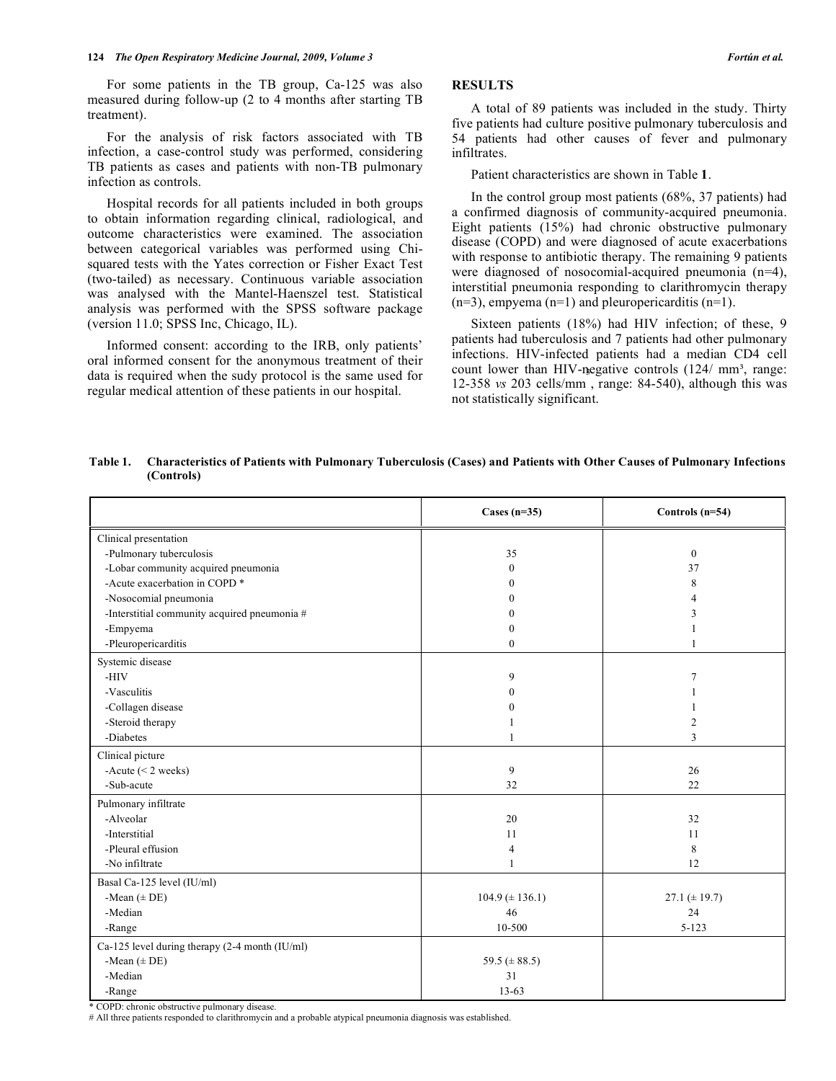### **124** *The Open Respiratory Medicine Journal, 2009, Volume 3* **<b>***Postage 3 <b>Fortún et al. Fortún et al.*

 For some patients in the TB group, Ca-125 was also measured during follow-up (2 to 4 months after starting TB treatment).

 For the analysis of risk factors associated with TB infection, a case-control study was performed, considering TB patients as cases and patients with non-TB pulmonary infection as controls.

 Hospital records for all patients included in both groups to obtain information regarding clinical, radiological, and outcome characteristics were examined. The association between categorical variables was performed using Chisquared tests with the Yates correction or Fisher Exact Test (two-tailed) as necessary. Continuous variable association was analysed with the Mantel-Haenszel test. Statistical analysis was performed with the SPSS software package (version 11.0; SPSS Inc, Chicago, IL).

 Informed consent: according to the IRB, only patients' oral informed consent for the anonymous treatment of their data is required when the sudy protocol is the same used for regular medical attention of these patients in our hospital.

# **RESULTS**

 A total of 89 patients was included in the study. Thirty five patients had culture positive pulmonary tuberculosis and 54 patients had other causes of fever and pulmonary infiltrates.

Patient characteristics are shown in Table **1**.

 In the control group most patients (68%, 37 patients) had a confirmed diagnosis of community-acquired pneumonia. Eight patients (15%) had chronic obstructive pulmonary disease (COPD) and were diagnosed of acute exacerbations with response to antibiotic therapy. The remaining 9 patients were diagnosed of nosocomial-acquired pneumonia (n=4), interstitial pneumonia responding to clarithromycin therapy  $(n=3)$ , empyema  $(n=1)$  and pleuropericarditis  $(n=1)$ .

 Sixteen patients (18%) had HIV infection; of these, 9 patients had tuberculosis and 7 patients had other pulmonary infections. HIV-infected patients had a median CD4 cell count lower than HIV-negative controls  $(124/mm^3)$ , range: count lower than H<sub>1</sub> v-negative controls (124/ mm<sup>-</sup>, range.<br>12-358 *vs* 203 cells/mm, range: 84-540), although this was not statistically significant.

| Table 1. | Characteristics of Patients with Pulmonary Tuberculosis (Cases) and Patients with Other Causes of Pulmonary Infections |  |  |  |  |
|----------|------------------------------------------------------------------------------------------------------------------------|--|--|--|--|
|          | (Controls)                                                                                                             |  |  |  |  |

|                                                | Cases $(n=35)$        | Controls (n=54)   |
|------------------------------------------------|-----------------------|-------------------|
| Clinical presentation                          |                       |                   |
| -Pulmonary tuberculosis                        | 35                    | $\boldsymbol{0}$  |
| -Lobar community acquired pneumonia            | $\Omega$              | 37                |
| -Acute exacerbation in COPD <sup>*</sup>       | 0                     | 8                 |
| -Nosocomial pneumonia                          | 0                     | 4                 |
| -Interstitial community acquired pneumonia #   | 0                     | 3                 |
| -Empyema                                       | 0                     |                   |
| -Pleuropericarditis                            | $\Omega$              | 1                 |
| Systemic disease                               |                       |                   |
| -HIV                                           | 9                     | 7                 |
| -Vasculitis                                    | $\Omega$              |                   |
| -Collagen disease                              | $\Omega$              |                   |
| -Steroid therapy                               |                       | 2                 |
| -Diabetes                                      |                       | 3                 |
| Clinical picture                               |                       |                   |
| -Acute $(< 2$ weeks)                           | 9                     | 26                |
| -Sub-acute                                     | 32                    | 22                |
| Pulmonary infiltrate                           |                       |                   |
| -Alveolar                                      | 20                    | 32                |
| -Interstitial                                  | 11                    | 11                |
| -Pleural effusion                              | 4                     | 8                 |
| -No infiltrate                                 | 1                     | 12                |
| Basal Ca-125 level (IU/ml)                     |                       |                   |
| -Mean $(\pm$ DE)                               | $104.9 \ (\pm 136.1)$ | 27.1 $(\pm 19.7)$ |
| -Median                                        | 46                    | 24                |
| -Range                                         | 10-500                | $5 - 123$         |
| Ca-125 level during therapy (2-4 month (IU/ml) |                       |                   |
| -Mean $(\pm DE)$                               | 59.5 ( $\pm$ 88.5)    |                   |
| -Median                                        | 31                    |                   |
| -Range                                         | $13 - 63$             |                   |

\* COPD: chronic obstructive pulmonary disease.

# All three patients responded to clarithromycin and a probable atypical pneumonia diagnosis was established.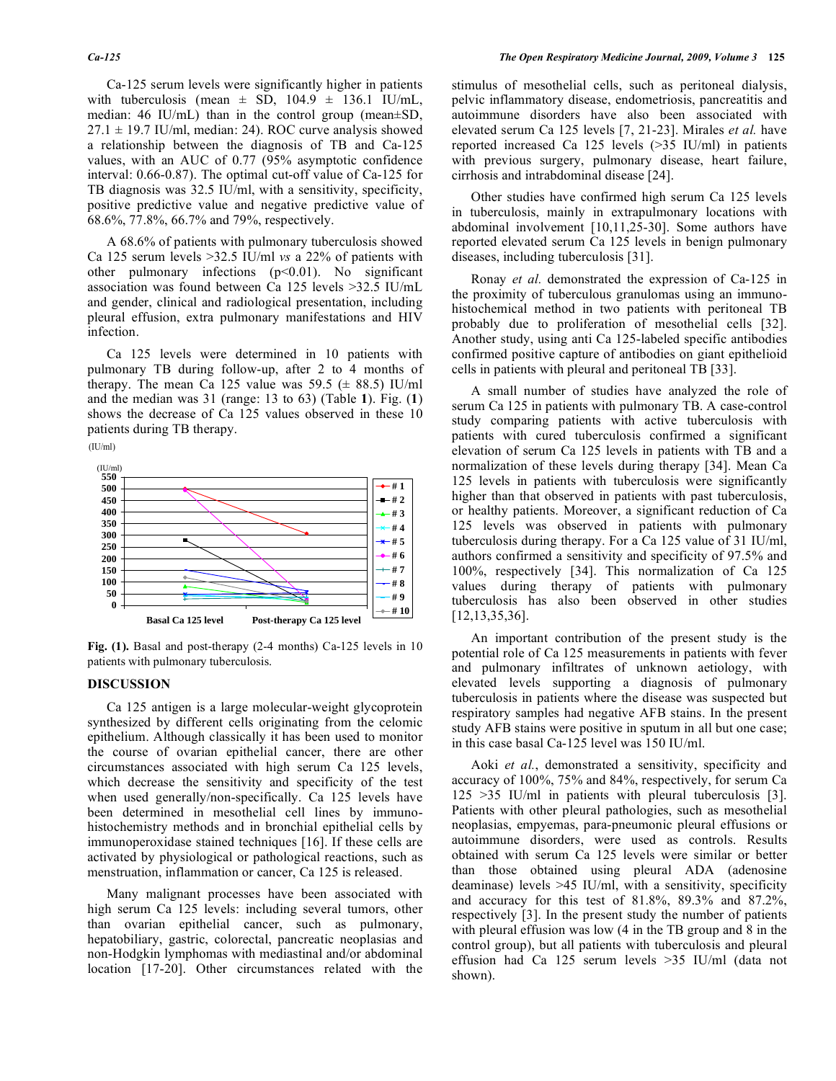Ca-125 serum levels were significantly higher in patients with tuberculosis (mean  $\pm$  SD, 104.9  $\pm$  136.1 IU/mL, median: 46 IU/mL) than in the control group (mean±SD,  $27.1 \pm 19.7$  IU/ml, median: 24). ROC curve analysis showed a relationship between the diagnosis of TB and Ca-125 values, with an AUC of 0.77 (95% asymptotic confidence interval: 0.66-0.87). The optimal cut-off value of Ca-125 for TB diagnosis was 32.5 IU/ml, with a sensitivity, specificity, positive predictive value and negative predictive value of 68.6%, 77.8%, 66.7% and 79%, respectively.

 A 68.6% of patients with pulmonary tuberculosis showed Ca 125 serum levels >32.5 IU/ml *vs* a 22% of patients with other pulmonary infections  $(p<0.01)$ . No significant association was found between Ca 125 levels >32.5 IU/mL and gender, clinical and radiological presentation, including pleural effusion, extra pulmonary manifestations and HIV infection.

 Ca 125 levels were determined in 10 patients with pulmonary TB during follow-up, after 2 to 4 months of therapy. The mean Ca 125 value was  $59.5 \ (\pm 88.5)$  IU/ml and the median was 31 (range: 13 to 63) (Table **1**). Fig. (**1**) shows the decrease of Ca 125 values observed in these 10 patients during TB therapy.





**Fig. (1).** Basal and post-therapy (2-4 months) Ca-125 levels in 10 patients with pulmonary tuberculosis.

### **DISCUSSION**

 Ca 125 antigen is a large molecular-weight glycoprotein synthesized by different cells originating from the celomic epithelium. Although classically it has been used to monitor the course of ovarian epithelial cancer, there are other circumstances associated with high serum Ca 125 levels, which decrease the sensitivity and specificity of the test when used generally/non-specifically. Ca 125 levels have been determined in mesothelial cell lines by immunohistochemistry methods and in bronchial epithelial cells by immunoperoxidase stained techniques [16]. If these cells are activated by physiological or pathological reactions, such as menstruation, inflammation or cancer, Ca 125 is released.

 Many malignant processes have been associated with high serum Ca 125 levels: including several tumors, other than ovarian epithelial cancer, such as pulmonary, hepatobiliary, gastric, colorectal, pancreatic neoplasias and non-Hodgkin lymphomas with mediastinal and/or abdominal location [17-20]. Other circumstances related with the stimulus of mesothelial cells, such as peritoneal dialysis, pelvic inflammatory disease, endometriosis, pancreatitis and autoimmune disorders have also been associated with elevated serum Ca 125 levels [7, 21-23]. Mirales *et al.* have reported increased Ca 125 levels (>35 IU/ml) in patients with previous surgery, pulmonary disease, heart failure, cirrhosis and intrabdominal disease [24].

 Other studies have confirmed high serum Ca 125 levels in tuberculosis, mainly in extrapulmonary locations with abdominal involvement [10,11,25-30]. Some authors have reported elevated serum Ca 125 levels in benign pulmonary diseases, including tuberculosis [31].

 Ronay *et al.* demonstrated the expression of Ca-125 in the proximity of tuberculous granulomas using an immunohistochemical method in two patients with peritoneal TB probably due to proliferation of mesothelial cells [32]. Another study, using anti Ca 125-labeled specific antibodies confirmed positive capture of antibodies on giant epithelioid cells in patients with pleural and peritoneal TB [33].

 A small number of studies have analyzed the role of serum Ca 125 in patients with pulmonary TB. A case-control study comparing patients with active tuberculosis with patients with cured tuberculosis confirmed a significant elevation of serum Ca 125 levels in patients with TB and a normalization of these levels during therapy [34]. Mean Ca 125 levels in patients with tuberculosis were significantly higher than that observed in patients with past tuberculosis, or healthy patients. Moreover, a significant reduction of Ca 125 levels was observed in patients with pulmonary tuberculosis during therapy. For a Ca 125 value of 31 IU/ml, authors confirmed a sensitivity and specificity of 97.5% and 100%, respectively [34]. This normalization of Ca 125 values during therapy of patients with pulmonary tuberculosis has also been observed in other studies [12,13,35,36].

 An important contribution of the present study is the potential role of Ca 125 measurements in patients with fever and pulmonary infiltrates of unknown aetiology, with elevated levels supporting a diagnosis of pulmonary tuberculosis in patients where the disease was suspected but respiratory samples had negative AFB stains. In the present study AFB stains were positive in sputum in all but one case; in this case basal Ca-125 level was 150 IU/ml.

 Aoki *et al.*, demonstrated a sensitivity, specificity and accuracy of 100%, 75% and 84%, respectively, for serum Ca 125 >35 IU/ml in patients with pleural tuberculosis [3]. Patients with other pleural pathologies, such as mesothelial neoplasias, empyemas, para-pneumonic pleural effusions or autoimmune disorders, were used as controls. Results obtained with serum Ca 125 levels were similar or better than those obtained using pleural ADA (adenosine deaminase) levels >45 IU/ml, with a sensitivity, specificity and accuracy for this test of 81.8%, 89.3% and 87.2%, respectively [3]. In the present study the number of patients with pleural effusion was low (4 in the TB group and 8 in the control group), but all patients with tuberculosis and pleural effusion had Ca 125 serum levels >35 IU/ml (data not shown).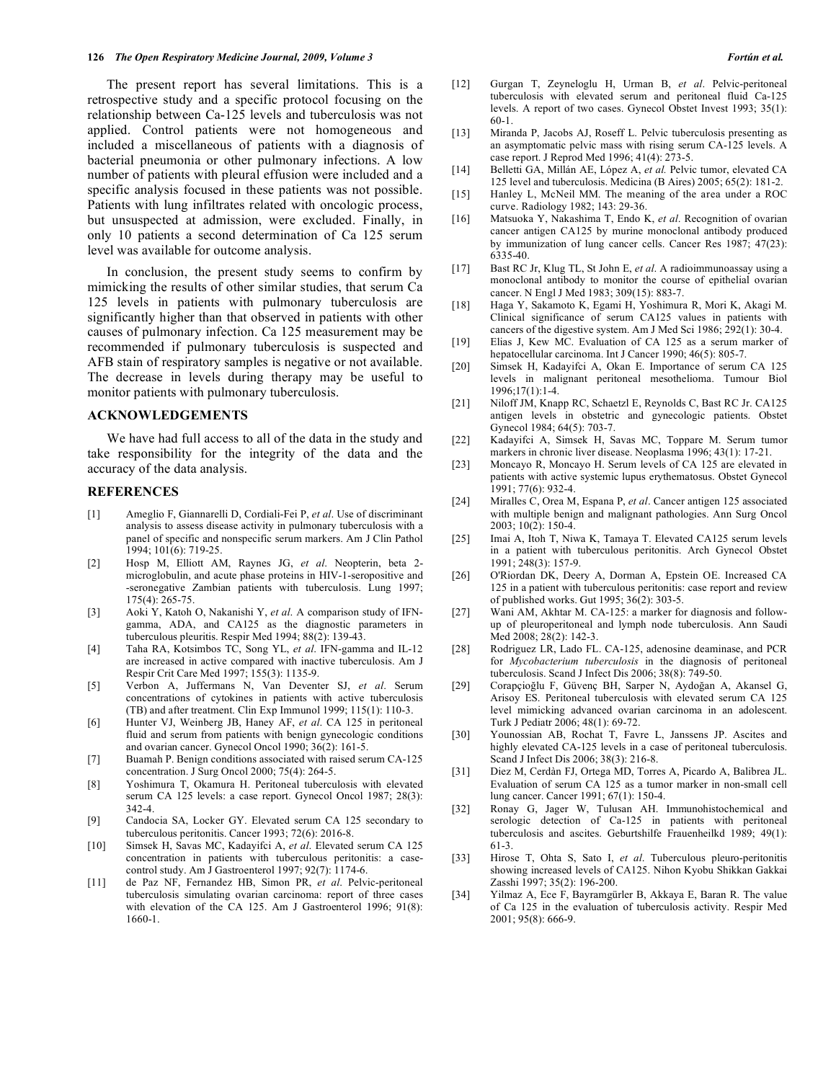The present report has several limitations. This is a retrospective study and a specific protocol focusing on the relationship between Ca-125 levels and tuberculosis was not applied. Control patients were not homogeneous and included a miscellaneous of patients with a diagnosis of bacterial pneumonia or other pulmonary infections. A low number of patients with pleural effusion were included and a specific analysis focused in these patients was not possible. Patients with lung infiltrates related with oncologic process, but unsuspected at admission, were excluded. Finally, in only 10 patients a second determination of Ca 125 serum level was available for outcome analysis.

 In conclusion, the present study seems to confirm by mimicking the results of other similar studies, that serum Ca 125 levels in patients with pulmonary tuberculosis are significantly higher than that observed in patients with other causes of pulmonary infection. Ca 125 measurement may be recommended if pulmonary tuberculosis is suspected and AFB stain of respiratory samples is negative or not available. The decrease in levels during therapy may be useful to monitor patients with pulmonary tuberculosis.

### **ACKNOWLEDGEMENTS**

 We have had full access to all of the data in the study and take responsibility for the integrity of the data and the accuracy of the data analysis.

#### **REFERENCES**

- [1] Ameglio F, Giannarelli D, Cordiali-Fei P, *et al*. Use of discriminant analysis to assess disease activity in pulmonary tuberculosis with a panel of specific and nonspecific serum markers. Am J Clin Pathol 1994; 101(6): 719-25.
- [2] Hosp M, Elliott AM, Raynes JG, *et al*. Neopterin, beta 2 microglobulin, and acute phase proteins in HIV-1-seropositive and -seronegative Zambian patients with tuberculosis. Lung 1997; 175(4): 265-75.
- [3] Aoki Y, Katoh O, Nakanishi Y, *et al*. A comparison study of IFNgamma, ADA, and CA125 as the diagnostic parameters in tuberculous pleuritis. Respir Med 1994; 88(2): 139-43.
- [4] Taha RA, Kotsimbos TC, Song YL, *et al*. IFN-gamma and IL-12 are increased in active compared with inactive tuberculosis. Am J Respir Crit Care Med 1997; 155(3): 1135-9.
- [5] Verbon A, Juffermans N, Van Deventer SJ, *et al*. Serum concentrations of cytokines in patients with active tuberculosis (TB) and after treatment. Clin Exp Immunol 1999; 115(1): 110-3.
- [6] Hunter VJ, Weinberg JB, Haney AF, *et al*. CA 125 in peritoneal fluid and serum from patients with benign gynecologic conditions and ovarian cancer. Gynecol Oncol 1990; 36(2): 161-5.
- [7] Buamah P. Benign conditions associated with raised serum CA-125 concentration. J Surg Oncol 2000; 75(4): 264-5.
- [8] Yoshimura T, Okamura H. Peritoneal tuberculosis with elevated serum CA 125 levels: a case report. Gynecol Oncol 1987; 28(3): 342-4.
- [9] Candocia SA, Locker GY. Elevated serum CA 125 secondary to tuberculous peritonitis. Cancer 1993; 72(6): 2016-8.
- [10] Simsek H, Savas MC, Kadayifci A, *et al*. Elevated serum CA 125 concentration in patients with tuberculous peritonitis: a casecontrol study. Am J Gastroenterol 1997; 92(7): 1174-6.
- [11] de Paz NF, Fernandez HB, Simon PR, *et al*. Pelvic-peritoneal tuberculosis simulating ovarian carcinoma: report of three cases with elevation of the CA 125. Am J Gastroenterol 1996; 91(8): 1660-1.
- [12] Gurgan T, Zeyneloglu H, Urman B, *et al*. Pelvic-peritoneal tuberculosis with elevated serum and peritoneal fluid Ca-125 levels. A report of two cases. Gynecol Obstet Invest 1993; 35(1): 60-1.
- [13] Miranda P, Jacobs AJ, Roseff L. Pelvic tuberculosis presenting as an asymptomatic pelvic mass with rising serum CA-125 levels. A case report. J Reprod Med 1996; 41(4): 273-5.
- [14] Belletti GA, Millán AE, López A, *et al.* Pelvic tumor, elevated CA 125 level and tuberculosis. Medicina (B Aires) 2005; 65(2): 181-2.
- [15] Hanley L, McNeil MM. The meaning of the area under a ROC curve. Radiology 1982; 143: 29-36.
- [16] Matsuoka Y, Nakashima T, Endo K, *et al*. Recognition of ovarian cancer antigen CA125 by murine monoclonal antibody produced by immunization of lung cancer cells. Cancer Res 1987; 47(23): 6335-40.
- [17] Bast RC Jr, Klug TL, St John E, *et al*. A radioimmunoassay using a monoclonal antibody to monitor the course of epithelial ovarian cancer. N Engl J Med 1983; 309(15): 883-7.
- [18] Haga Y, Sakamoto K, Egami H, Yoshimura R, Mori K, Akagi M. Clinical significance of serum CA125 values in patients with cancers of the digestive system. Am J Med Sci 1986; 292(1): 30-4.
- [19] Elias J, Kew MC. Evaluation of CA 125 as a serum marker of hepatocellular carcinoma. Int J Cancer 1990; 46(5): 805-7.
- [20] Simsek H, Kadayifci A, Okan E. Importance of serum CA 125 levels in malignant peritoneal mesothelioma. Tumour Biol 1996;17(1):1-4.
- [21] Niloff JM, Knapp RC, Schaetzl E, Reynolds C, Bast RC Jr. CA125 antigen levels in obstetric and gynecologic patients. Obstet Gynecol 1984; 64(5): 703-7.
- [22] Kadayifci A, Simsek H, Savas MC, Toppare M. Serum tumor markers in chronic liver disease. Neoplasma 1996; 43(1): 17-21.
- [23] Moncayo R, Moncayo H. Serum levels of CA 125 are elevated in patients with active systemic lupus erythematosus. Obstet Gynecol 1991; 77(6): 932-4.
- [24] Miralles C, Orea M, Espana P, *et al*. Cancer antigen 125 associated with multiple benign and malignant pathologies. Ann Surg Oncol 2003; 10(2): 150-4.
- [25] Imai A, Itoh T, Niwa K, Tamaya T. Elevated CA125 serum levels in a patient with tuberculous peritonitis. Arch Gynecol Obstet 1991; 248(3): 157-9.
- [26] O'Riordan DK, Deery A, Dorman A, Epstein OE. Increased CA 125 in a patient with tuberculous peritonitis: case report and review of published works. Gut 1995; 36(2): 303-5.
- [27] Wani AM, Akhtar M. CA-125: a marker for diagnosis and followup of pleuroperitoneal and lymph node tuberculosis. Ann Saudi Med 2008; 28(2): 142-3.
- [28] Rodriguez LR, Lado FL. CA-125, adenosine deaminase, and PCR for *Mycobacterium tuberculosis* in the diagnosis of peritoneal tuberculosis. Scand J Infect Dis 2006; 38(8): 749-50.
- [29] Corapçioğlu F, Güvenç BH, Sarper N, Aydoğan A, Akansel G, Arisoy ES. Peritoneal tuberculosis with elevated serum CA 125 level mimicking advanced ovarian carcinoma in an adolescent. Turk J Pediatr 2006; 48(1): 69-72.
- [30] Younossian AB, Rochat T, Favre L, Janssens JP. Ascites and highly elevated CA-125 levels in a case of peritoneal tuberculosis. Scand J Infect Dis 2006; 38(3): 216-8.
- [31] Diez M, Cerdàn FJ, Ortega MD, Torres A, Picardo A, Balibrea JL. Evaluation of serum CA 125 as a tumor marker in non-small cell lung cancer. Cancer 1991; 67(1): 150-4.
- [32] Ronay G, Jager W, Tulusan AH. Immunohistochemical and serologic detection of Ca-125 in patients with peritoneal tuberculosis and ascites. Geburtshilfe Frauenheilkd 1989; 49(1): 61-3.
- [33] Hirose T, Ohta S, Sato I, *et al*. Tuberculous pleuro-peritonitis showing increased levels of CA125. Nihon Kyobu Shikkan Gakkai Zasshi 1997; 35(2): 196-200.
- [34] Yilmaz A, Ece F, Bayramgürler B, Akkaya E, Baran R. The value of Ca 125 in the evaluation of tuberculosis activity. Respir Med 2001; 95(8): 666-9.